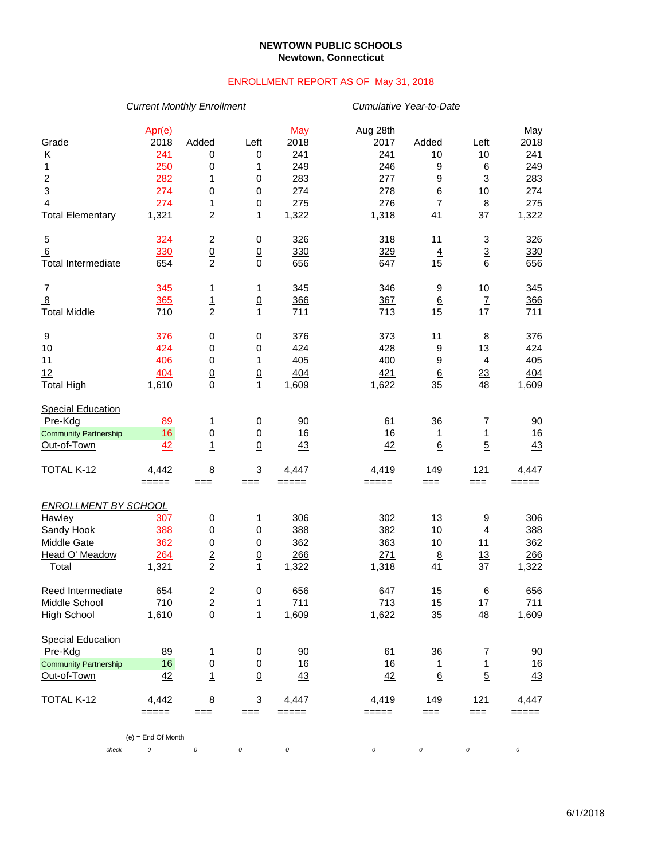### **NEWTOWN PUBLIC SCHOOLS Newtown, Connecticut**

# ENROLLMENT REPORT AS OF May 31, 2018

## *Current Monthly Enrollment Cumulative Year-to-Date*

| Grade<br>Κ<br>1<br>$\boldsymbol{2}$<br>$\ensuremath{\mathsf{3}}$<br>$\overline{4}$<br><b>Total Elementary</b>                                                                              | Apr(e)<br>2018<br>241<br>250<br>282<br>274<br>274<br>1,321 | Added<br>0<br>0<br>1<br>$\pmb{0}$<br>$\frac{1}{2}$       | <u>Left</u><br>0<br>1<br>0<br>$\,0\,$<br>$\overline{0}$<br>$\mathbf{1}$ | May<br>2018<br>241<br>249<br>283<br>274<br>275<br>1,322 | Aug 28th<br>2017<br>241<br>246<br>277<br>278<br>276<br>1,318 | Added<br>10<br>9<br>9<br>$\,6$<br>$\overline{1}$<br>41 | <u>Left</u><br>10<br>6<br>3<br>10<br>$\overline{8}$<br>37 | May<br>2018<br>241<br>249<br>283<br>274<br>275<br>1,322 |  |  |  |  |
|--------------------------------------------------------------------------------------------------------------------------------------------------------------------------------------------|------------------------------------------------------------|----------------------------------------------------------|-------------------------------------------------------------------------|---------------------------------------------------------|--------------------------------------------------------------|--------------------------------------------------------|-----------------------------------------------------------|---------------------------------------------------------|--|--|--|--|
| 5<br>6<br><b>Total Intermediate</b>                                                                                                                                                        | 324<br>330<br>654                                          | 2<br>$\underline{0}$<br>$\overline{c}$                   | 0<br>$\overline{0}$<br>$\pmb{0}$                                        | 326<br>330<br>656                                       | 318<br>329<br>647                                            | 11<br>$\overline{4}$<br>15                             | 3<br>$\overline{3}$<br>$\,6$                              | 326<br>330<br>656                                       |  |  |  |  |
| 7<br>8<br><b>Total Middle</b>                                                                                                                                                              | 345<br>365<br>710                                          | 1<br>$\frac{1}{2}$                                       | 1<br>$\overline{0}$<br>1                                                | 345<br>366<br>711                                       | 346<br>367<br>713                                            | 9<br>$\underline{6}$<br>15                             | 10<br>$\underline{7}$<br>17                               | 345<br>366<br>711                                       |  |  |  |  |
| 9<br>10<br>11<br>12<br><b>Total High</b>                                                                                                                                                   | 376<br>424<br>406<br>404<br>1,610                          | 0<br>0<br>0<br>$\underline{0}$<br>$\mathbf 0$            | 0<br>0<br>1<br>$\overline{0}$<br>$\mathbf{1}$                           | 376<br>424<br>405<br>404<br>1,609                       | 373<br>428<br>400<br>421<br>1,622                            | 11<br>9<br>9<br>$\underline{6}$<br>35                  | 8<br>13<br>$\overline{4}$<br>23<br>48                     | 376<br>424<br>405<br>404<br>1,609                       |  |  |  |  |
| <b>Special Education</b><br>Pre-Kdg<br><b>Community Partnership</b><br>Out-of-Town                                                                                                         | 89<br>16<br>42                                             | 1<br>$\pmb{0}$<br>$\mathbf{1}$                           | 0<br>0<br>$\Omega$                                                      | 90<br>16<br>43                                          | 61<br>16<br>42                                               | 36<br>1<br>$6\overline{6}$                             | 7<br>1<br>$\overline{5}$                                  | 90<br>16<br>43                                          |  |  |  |  |
| TOTAL K-12                                                                                                                                                                                 | 4,442<br>$=====$                                           | 8<br>$==$                                                | $\ensuremath{\mathsf{3}}$<br>$==$                                       | 4,447<br>$=====$                                        | 4,419<br>=====                                               | 149<br>$==$                                            | 121<br>$==$                                               | 4,447<br>=====                                          |  |  |  |  |
| <b>ENROLLMENT BY SCHOOL</b><br>Hawley<br>Sandy Hook<br>Middle Gate<br>Head O' Meadow<br>Total                                                                                              | 307<br>388<br>362<br>264<br>1,321                          | 0<br>0<br>$\pmb{0}$<br>$\underline{2}$<br>$\overline{c}$ | 1<br>$\pmb{0}$<br>$\pmb{0}$<br>$\underline{0}$<br>1                     | 306<br>388<br>362<br>266<br>1,322                       | 302<br>382<br>363<br>271<br>1,318                            | 13<br>10<br>10<br>$\underline{8}$<br>41                | 9<br>4<br>11<br>13<br>37                                  | 306<br>388<br>362<br>266<br>1,322                       |  |  |  |  |
| Reed Intermediate<br>Middle School<br><b>High School</b>                                                                                                                                   | 654<br>710<br>1,610                                        | 2<br>2<br>$\pmb{0}$                                      | $\pmb{0}$<br>1<br>1                                                     | 656<br>711<br>1,609                                     | 647<br>713<br>1,622                                          | 15<br>15<br>35                                         | 6<br>17<br>48                                             | 656<br>711<br>1,609                                     |  |  |  |  |
| <b>Special Education</b><br>Pre-Kdg<br><b>Community Partnership</b><br>Out-of-Town                                                                                                         | 89<br>16<br>42                                             | 1<br>$\pmb{0}$<br>$\mathbf{1}$                           | 0<br>$\pmb{0}$<br>$\underline{0}$                                       | 90<br>16<br>43                                          | 61<br>16<br>42                                               | 36<br>1<br>$\underline{6}$                             | 7<br>1<br>$\overline{5}$                                  | 90<br>16<br>43                                          |  |  |  |  |
| 8<br>$\ensuremath{\mathsf{3}}$<br>TOTAL K-12<br>4,442<br>4,447<br>4,419<br>149<br>121<br>4,447<br>$=====$<br>$=====$<br>=====<br>===<br>===<br>===<br>===<br>=====<br>$(e)$ = End Of Month |                                                            |                                                          |                                                                         |                                                         |                                                              |                                                        |                                                           |                                                         |  |  |  |  |
| check                                                                                                                                                                                      | 0                                                          | 0                                                        | 0                                                                       | $\it{O}$                                                | 0                                                            | 0                                                      | 0                                                         | $\cal O$                                                |  |  |  |  |